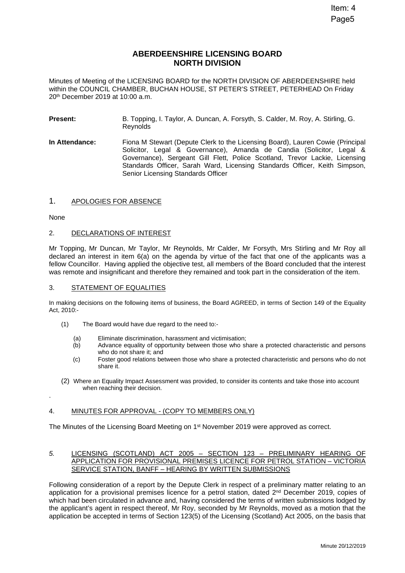# **ABERDEENSHIRE LICENSING BOARD NORTH DIVISION**

Minutes of Meeting of the LICENSING BOARD for the NORTH DIVISION OF ABERDEENSHIRE held within the COUNCIL CHAMBER, BUCHAN HOUSE, ST PETER'S STREET, PETERHEAD On Friday 20th December 2019 at 10:00 a.m.

- **Present:** B. Topping, I. Taylor, A. Duncan, A. Forsyth, S. Calder, M. Roy, A. Stirling, G. **Reynolds**
- **In Attendance:** Fiona M Stewart (Depute Clerk to the Licensing Board), Lauren Cowie (Principal Solicitor, Legal & Governance), Amanda de Candia (Solicitor, Legal & Governance), Sergeant Gill Flett, Police Scotland, Trevor Lackie, Licensing Standards Officer, Sarah Ward, Licensing Standards Officer, Keith Simpson, Senior Licensing Standards Officer

## 1. APOLOGIES FOR ABSENCE

None

.

#### 2. DECLARATIONS OF INTEREST

Mr Topping, Mr Duncan, Mr Taylor, Mr Reynolds, Mr Calder, Mr Forsyth, Mrs Stirling and Mr Roy all declared an interest in item 6(a) on the agenda by virtue of the fact that one of the applicants was a fellow Councillor. Having applied the objective test, all members of the Board concluded that the interest was remote and insignificant and therefore they remained and took part in the consideration of the item.

#### 3. STATEMENT OF EQUALITIES

In making decisions on the following items of business, the Board AGREED, in terms of Section 149 of the Equality Act, 2010:-

- (1) The Board would have due regard to the need to:-
	- (a) Eliminate discrimination, harassment and victimisation;
	- (b) Advance equality of opportunity between those who share a protected characteristic and persons who do not share it; and
	- (c) Foster good relations between those who share a protected characteristic and persons who do not share it.
- (2) Where an Equality Impact Assessment was provided, to consider its contents and take those into account when reaching their decision.

#### 4. MINUTES FOR APPROVAL - (COPY TO MEMBERS ONLY)

The Minutes of the Licensing Board Meeting on 1<sup>st</sup> November 2019 were approved as correct.

#### *5.* LICENSING (SCOTLAND) ACT 2005 – SECTION 123 – PRELIMINARY HEARING OF APPLICATION FOR PROVISIONAL PREMISES LICENCE FOR PETROL STATION – VICTORIA SERVICE STATION, BANFF – HEARING BY WRITTEN SUBMISSIONS

Following consideration of a report by the Depute Clerk in respect of a preliminary matter relating to an application for a provisional premises licence for a petrol station, dated 2nd December 2019, copies of which had been circulated in advance and, having considered the terms of written submissions lodged by the applicant's agent in respect thereof, Mr Roy, seconded by Mr Reynolds, moved as a motion that the application be accepted in terms of Section 123(5) of the Licensing (Scotland) Act 2005, on the basis that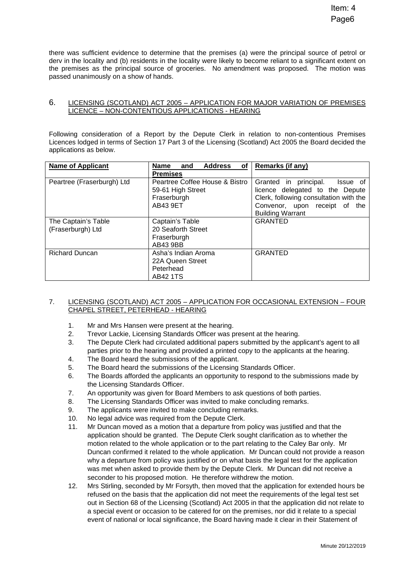there was sufficient evidence to determine that the premises (a) were the principal source of petrol or derv in the locality and (b) residents in the locality were likely to become reliant to a significant extent on the premises as the principal source of groceries. No amendment was proposed. The motion was passed unanimously on a show of hands.

## 6. LICENSING (SCOTLAND) ACT 2005 – APPLICATION FOR MAJOR VARIATION OF PREMISES LICENCE – NON-CONTENTIOUS APPLICATIONS - HEARING

Following consideration of a Report by the Depute Clerk in relation to non-contentious Premises Licences lodged in terms of Section 17 Part 3 of the Licensing (Scotland) Act 2005 the Board decided the applications as below.

| <b>Name of Applicant</b>   | of l<br>Address<br>Name<br>and | <b>Remarks (if any)</b>                |
|----------------------------|--------------------------------|----------------------------------------|
|                            | <b>Premises</b>                |                                        |
| Peartree (Fraserburgh) Ltd | Peartree Coffee House & Bistro | Granted in principal.<br>Issue of      |
|                            | 59-61 High Street              | licence delegated to the Depute        |
|                            | Fraserburgh                    | Clerk, following consultation with the |
|                            | AB43 9ET                       | Convenor, upon receipt of the          |
|                            |                                | <b>Building Warrant</b>                |
| The Captain's Table        | Captain's Table                | <b>GRANTED</b>                         |
| (Fraserburgh) Ltd          | 20 Seaforth Street             |                                        |
|                            | Fraserburgh                    |                                        |
|                            | AB43 9BB                       |                                        |
| <b>Richard Duncan</b>      | Asha's Indian Aroma            | <b>GRANTED</b>                         |
|                            | 22A Queen Street               |                                        |
|                            | Peterhead                      |                                        |
|                            | AB42 1TS                       |                                        |

## 7. LICENSING (SCOTLAND) ACT 2005 – APPLICATION FOR OCCASIONAL EXTENSION – FOUR CHAPEL STREET, PETERHEAD - HEARING

- 1. Mr and Mrs Hansen were present at the hearing.
- 2. Trevor Lackie, Licensing Standards Officer was present at the hearing.
- 3. The Depute Clerk had circulated additional papers submitted by the applicant's agent to all parties prior to the hearing and provided a printed copy to the applicants at the hearing.
- 4. The Board heard the submissions of the applicant.
- 5. The Board heard the submissions of the Licensing Standards Officer.
- 6. The Boards afforded the applicants an opportunity to respond to the submissions made by the Licensing Standards Officer.
- 7. An opportunity was given for Board Members to ask questions of both parties.
- 8. The Licensing Standards Officer was invited to make concluding remarks.
- 9. The applicants were invited to make concluding remarks.
- 10. No legal advice was required from the Depute Clerk.
- 11. Mr Duncan moved as a motion that a departure from policy was justified and that the application should be granted. The Depute Clerk sought clarification as to whether the motion related to the whole application or to the part relating to the Caley Bar only. Mr Duncan confirmed it related to the whole application. Mr Duncan could not provide a reason why a departure from policy was justified or on what basis the legal test for the application was met when asked to provide them by the Depute Clerk. Mr Duncan did not receive a seconder to his proposed motion. He therefore withdrew the motion.
- 12. Mrs Stirling, seconded by Mr Forsyth, then moved that the application for extended hours be refused on the basis that the application did not meet the requirements of the legal test set out in Section 68 of the Licensing (Scotland) Act 2005 in that the application did not relate to a special event or occasion to be catered for on the premises, nor did it relate to a special event of national or local significance, the Board having made it clear in their Statement of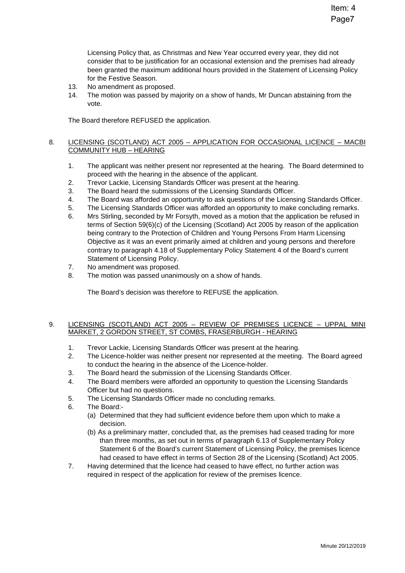Licensing Policy that, as Christmas and New Year occurred every year, they did not consider that to be justification for an occasional extension and the premises had already been granted the maximum additional hours provided in the Statement of Licensing Policy for the Festive Season.

- 13. No amendment as proposed.
- 14. The motion was passed by majority on a show of hands, Mr Duncan abstaining from the vote.

The Board therefore REFUSED the application.

#### 8. LICENSING (SCOTLAND) ACT 2005 – APPLICATION FOR OCCASIONAL LICENCE – MACBI COMMUNITY HUB – HEARING

- 1. The applicant was neither present nor represented at the hearing. The Board determined to proceed with the hearing in the absence of the applicant.
- 2. Trevor Lackie, Licensing Standards Officer was present at the hearing.
- 3. The Board heard the submissions of the Licensing Standards Officer.
- 4. The Board was afforded an opportunity to ask questions of the Licensing Standards Officer.
- 5. The Licensing Standards Officer was afforded an opportunity to make concluding remarks.
- 6. Mrs Stirling, seconded by Mr Forsyth, moved as a motion that the application be refused in terms of Section 59(6)(c) of the Licensing (Scotland) Act 2005 by reason of the application being contrary to the Protection of Children and Young Persons From Harm Licensing Objective as it was an event primarily aimed at children and young persons and therefore contrary to paragraph 4.18 of Supplementary Policy Statement 4 of the Board's current Statement of Licensing Policy.
- 7. No amendment was proposed.
- 8. The motion was passed unanimously on a show of hands.

The Board's decision was therefore to REFUSE the application.

## 9. LICENSING (SCOTLAND) ACT 2005 – REVIEW OF PREMISES LICENCE – UPPAL MINI MARKET, 2 GORDON STREET, ST COMBS, FRASERBURGH - HEARING

- 1. Trevor Lackie, Licensing Standards Officer was present at the hearing.
- 2. The Licence-holder was neither present nor represented at the meeting. The Board agreed to conduct the hearing in the absence of the Licence-holder.
- 3. The Board heard the submission of the Licensing Standards Officer.
- 4. The Board members were afforded an opportunity to question the Licensing Standards Officer but had no questions.
- 5. The Licensing Standards Officer made no concluding remarks.
- 6. The Board:-
	- (a) Determined that they had sufficient evidence before them upon which to make a decision.
	- (b) As a preliminary matter, concluded that, as the premises had ceased trading for more than three months, as set out in terms of paragraph 6.13 of Supplementary Policy Statement 6 of the Board's current Statement of Licensing Policy, the premises licence had ceased to have effect in terms of Section 28 of the Licensing (Scotland) Act 2005.
- 7. Having determined that the licence had ceased to have effect, no further action was required in respect of the application for review of the premises licence.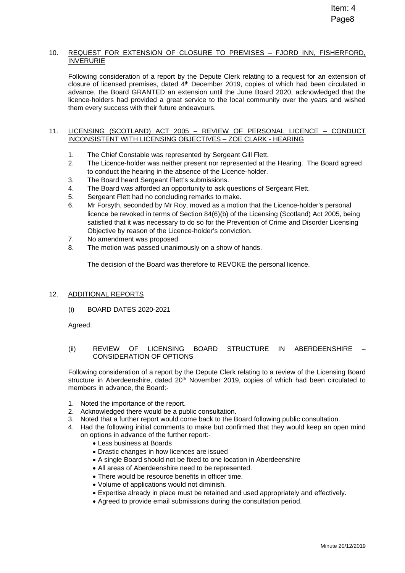#### 10. REQUEST FOR EXTENSION OF CLOSURE TO PREMISES – FJORD INN, FISHERFORD, INVERURIE

Following consideration of a report by the Depute Clerk relating to a request for an extension of closure of licensed premises, dated 4<sup>th</sup> December 2019, copies of which had been circulated in advance, the Board GRANTED an extension until the June Board 2020, acknowledged that the licence-holders had provided a great service to the local community over the years and wished them every success with their future endeavours.

#### 11. LICENSING (SCOTLAND) ACT 2005 – REVIEW OF PERSONAL LICENCE – CONDUCT INCONSISTENT WITH LICENSING OBJECTIVES – ZOE CLARK - HEARING

- 1. The Chief Constable was represented by Sergeant Gill Flett.
- 2. The Licence-holder was neither present nor represented at the Hearing. The Board agreed to conduct the hearing in the absence of the Licence-holder.
- 3. The Board heard Sergeant Flett's submissions.
- 4. The Board was afforded an opportunity to ask questions of Sergeant Flett.
- 5. Sergeant Flett had no concluding remarks to make.
- 6. Mr Forsyth, seconded by Mr Roy, moved as a motion that the Licence-holder's personal licence be revoked in terms of Section 84(6)(b) of the Licensing (Scotland) Act 2005, being satisfied that it was necessary to do so for the Prevention of Crime and Disorder Licensing Objective by reason of the Licence-holder's conviction.
- 7. No amendment was proposed.
- 8. The motion was passed unanimously on a show of hands.

The decision of the Board was therefore to REVOKE the personal licence.

## 12. ADDITIONAL REPORTS

(i) BOARD DATES 2020-2021

Agreed.

(ii) REVIEW OF LICENSING BOARD STRUCTURE IN ABERDEENSHIRE – CONSIDERATION OF OPTIONS

Following consideration of a report by the Depute Clerk relating to a review of the Licensing Board structure in Aberdeenshire, dated  $20<sup>th</sup>$  November 2019, copies of which had been circulated to members in advance, the Board:-

- 1. Noted the importance of the report.
- 2. Acknowledged there would be a public consultation.
- 3. Noted that a further report would come back to the Board following public consultation.
- 4. Had the following initial comments to make but confirmed that they would keep an open mind on options in advance of the further report:-
	- Less business at Boards
	- Drastic changes in how licences are issued
	- A single Board should not be fixed to one location in Aberdeenshire
	- All areas of Aberdeenshire need to be represented.
	- There would be resource benefits in officer time.
	- Volume of applications would not diminish.
	- Expertise already in place must be retained and used appropriately and effectively.
	- Agreed to provide email submissions during the consultation period.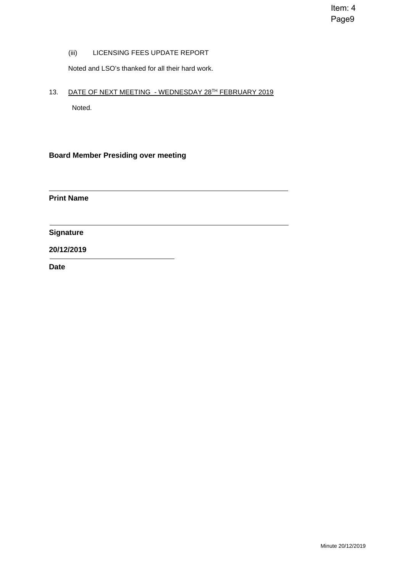Item: 4 Page9

(iii) LICENSING FEES UPDATE REPORT

Noted and LSO's thanked for all their hard work.

13. DATE OF NEXT MEETING - WEDNESDAY 28TH FEBRUARY 2019

Noted.

**Board Member Presiding over meeting** 

**Print Name** 

**Signature** 

## **20/12/2019**

**Date**